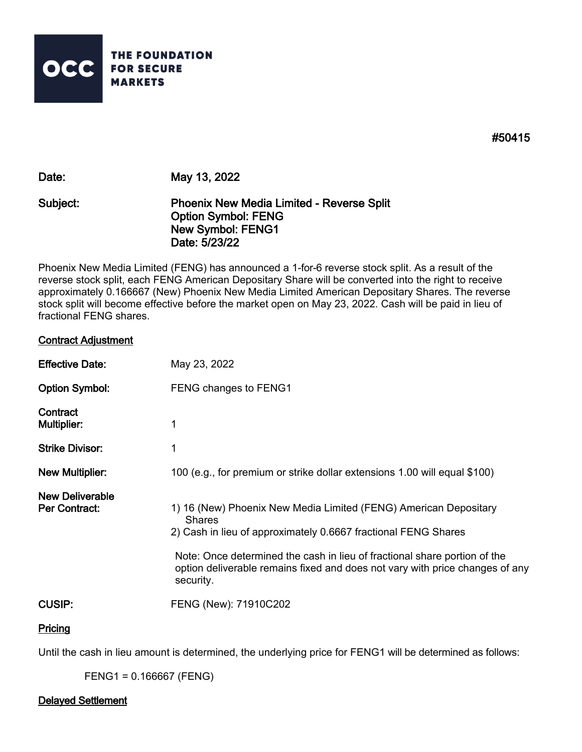

**#50415** 

**Date: May 13, 2022**

# **Subject: Phoenix New Media Limited - Reverse Split Option Symbol: FENG New Symbol: FENG1 Date: 5/23/22**

Phoenix New Media Limited (FENG) has announced a 1-for-6 reverse stock split. As a result of the reverse stock split, each FENG American Depositary Share will be converted into the right to receive approximately 0.166667 (New) Phoenix New Media Limited American Depositary Shares. The reverse stock split will become effective before the market open on May 23, 2022. Cash will be paid in lieu of fractional FENG shares.

## **Contract Adjustment**

| <b>Effective Date:</b>                         | May 23, 2022                                                                                                                                                                                                                                                                                                                  |
|------------------------------------------------|-------------------------------------------------------------------------------------------------------------------------------------------------------------------------------------------------------------------------------------------------------------------------------------------------------------------------------|
| <b>Option Symbol:</b>                          | FENG changes to FENG1                                                                                                                                                                                                                                                                                                         |
| Contract<br><b>Multiplier:</b>                 | 1                                                                                                                                                                                                                                                                                                                             |
| <b>Strike Divisor:</b>                         | 1                                                                                                                                                                                                                                                                                                                             |
| <b>New Multiplier:</b>                         | 100 (e.g., for premium or strike dollar extensions 1.00 will equal \$100)                                                                                                                                                                                                                                                     |
| <b>New Deliverable</b><br><b>Per Contract:</b> | 1) 16 (New) Phoenix New Media Limited (FENG) American Depositary<br><b>Shares</b><br>2) Cash in lieu of approximately 0.6667 fractional FENG Shares<br>Note: Once determined the cash in lieu of fractional share portion of the<br>option deliverable remains fixed and does not vary with price changes of any<br>security. |
| <b>CUSIP:</b>                                  | FENG (New): 71910C202                                                                                                                                                                                                                                                                                                         |

### **Pricing**

Until the cash in lieu amount is determined, the underlying price for FENG1 will be determined as follows:

FENG1 = 0.166667 (FENG)

#### **Delayed Settlement**